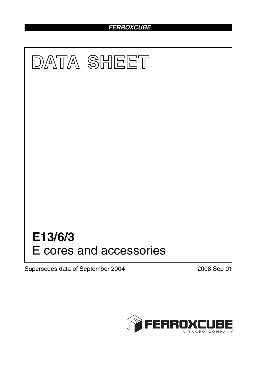## *FERROXCUBE*



Supersedes data of September 2004 2008 Sep 01

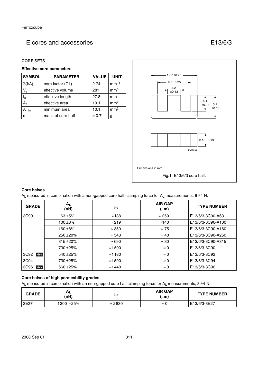## E cores and accessories E13/6/3

## **CORE SETS**

## **Effective core parameters**

| <b>SYMBOL</b>             | <b>VALUE</b><br><b>PARAMETER</b> |               | <b>UNIT</b>     |
|---------------------------|----------------------------------|---------------|-----------------|
| $\Sigma(I/A)$             | core factor (C1)                 | 2.74          | $mm-1$          |
| $V_{\rm e}$               | effective volume                 | 281           | mm <sup>3</sup> |
| $\mathsf{l}_{\mathsf{e}}$ | effective length                 | 27.8          | mm              |
| $A_{e}$                   | effective area                   | 10.1          | mm <sup>2</sup> |
| <b>\</b> min              | minimum area                     | 10.1          | mm <sup>2</sup> |
| m                         | mass of core half                | $\approx 0.7$ | g               |



### **Core halves**

A<sub>L</sub> measured in combination with a non-gapped core half, clamping force for A<sub>L</sub> measurements, 8 ±4 N.

| <b>GRADE</b> | $A_{L}$<br>(nH) | $\mu_{\mathbf{e}}$ | <b>AIR GAP</b><br>$(\mu m)$ | <b>TYPE NUMBER</b> |
|--------------|-----------------|--------------------|-----------------------------|--------------------|
| 3C90         | $63 + 5%$       | ≈138               | $\approx$ 250               | E13/6/3-3C90-A63   |
|              | $100 + 8\%$     | $\approx$ 219      | $\approx$ 140               | E13/6/3-3C90-A100  |
|              | $160 + 8%$      | $\approx 350$      | $\approx 75$                | E13/6/3-3C90-A160  |
|              | $250 + 20%$     | $\approx 548$      | $\approx 40$                | E13/6/3-3C90-A250  |
|              | $315 + 20%$     | $\approx 690$      | $\approx 30$                | E13/6/3-3C90-A315  |
|              | 730 ± 25%       | $\approx$ 1590     | $\approx 0$                 | E13/6/3-3C90       |
| 3C92<br>des  | 540 $\pm$ 25%   | $\approx$ 1180     | $\approx 0$                 | E13/6/3-3C92       |
| 3C94         | 730 ± 25%       | $\approx$ 1590     | $\approx 0$                 | E13/6/3-3C94       |
| 3C96<br>des  | 660 $\pm$ 25%   | $\approx$ 1440     | $\approx 0$                 | E13/6/3-3C96       |

## **Core halves of high permeability grades**

 $A_L$  measured in combination with an non-gapped core half, clamping force for  $A_L$  measurements, 8 ±4 N.

| <b>GRADE</b> | $H_{L}$<br>(nH) | μe             | <b>AIR GAP</b><br>$(\mu m)$ | <b>TYPE NUMBER</b> |
|--------------|-----------------|----------------|-----------------------------|--------------------|
| 3E27         | 1300 ±25%       | $\approx$ 2830 | $\approx$<br>u              | E13/6/3-3E27       |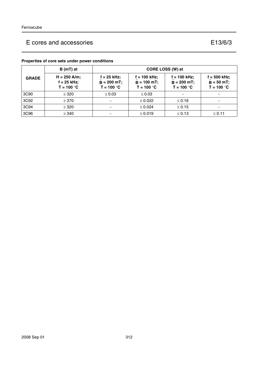# E cores and accessories E13/6/3

|              | $B(mT)$ at                                      | <b>CORE LOSS (W) at</b>                      |                                                 |                                                 |                                              |
|--------------|-------------------------------------------------|----------------------------------------------|-------------------------------------------------|-------------------------------------------------|----------------------------------------------|
| <b>GRADE</b> | $H = 250$ A/m;<br>$f = 25$ kHz;<br>$T = 100 °C$ | f = 25 kHz;<br>$B = 200$ mT;<br>$T = 100 °C$ | $f = 100$ kHz;<br>$B = 100$ mT;<br>$T = 100 °C$ | $f = 100$ kHz;<br>$B = 200$ mT;<br>$T = 100 °C$ | f = 500 kHz;<br>$B = 50$ mT;<br>$T = 100 °C$ |
| 3C90         | $\geq$ 320                                      | $\leq 0.03$                                  | $\leq 0.03$                                     |                                                 |                                              |
| 3C92         | $\geq$ 370                                      |                                              | $\leq 0.022$                                    | $\leq 0.16$                                     |                                              |
| 3C94         | $\geq$ 320                                      |                                              | $\leq 0.024$                                    | $\leq 0.15$                                     |                                              |
| 3C96         | $\geq$ 340                                      |                                              | $\leq 0.019$                                    | $\leq 0.13$                                     | $\leq 0.11$                                  |

## **Properties of core sets under power conditions**